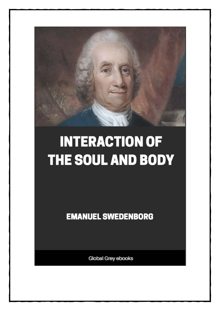

# **INTERACTION OF** THE SOUL AND BODY

**EMANUEL SWEDENBORG** 

**Global Grey ebooks**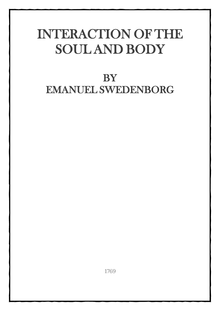## INTERACTION OF THE SOUL AND BODY

### **BY** EMANUEL SWEDENBORG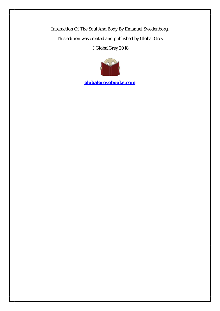Interaction Of The Soul And Body By Emanuel Swedenborg. This edition was created and published by Global Grey ©GlobalGrey 2018



**[globalgreyebooks.com](https://www.globalgreyebooks.com/)**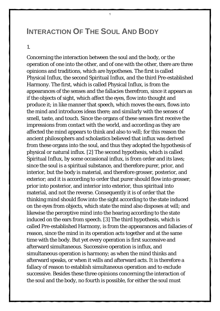### **INTERACTION OF THE SOUL AND BODY**

1

1.

Concerning the interaction between the soul and the body, or the operation of one into the other, and of one with the other, there are three opinions and traditions, which are hypotheses. The first is called Physical Influx, the second Spiritual Influx, and the third Pre-established Harmony. The first, which is called Physical Influx, is from the appearances of the senses and the fallacies therefrom, since it appears as if the objects of sight, which affect the eyes, flow into thought and produce it; in like manner that speech, which moves the ears, flows into the mind and introduces ideas there; and similarly with the senses of smell, taste, and touch. Since the organs of these senses first receive the impressions from contact with the world, and according as they are affected the mind appears to think and also to will; for this reason the ancient philosophers and scholastics believed that influx was derived from these organs into the soul, and thus they adopted the hypothesis of physical or natural influx. [2] The second hypothesis, which is called Spiritual Influx, by some occasional influx, is from order and its laws; since the soul is a spiritual substance, and therefore purer, prior, and interior, but the body is material, and therefore grosser, posterior, and exterior; and it is according to order that purer should flow into grosser, prior into posterior, and interior into exterior, thus spiritual into material, and not the reverse. Consequently it is of order that the thinking mind should flow into the sight according to the state induced on the eyes from objects, which state the mind also disposes at will; and likewise the perceptive mind into the hearing according to the state induced on the ears from speech. [3] The third hypothesis, which is called Pre-established Harmony, is from the appearances and fallacies of reason, since the mind in its operation acts together and at the same time with the body. But yet every operation is first successive and afterward simultaneous. Successive operation is influx, and simultaneous operation is harmony; as when the mind thinks and afterward speaks, or when it wills and afterward acts. It is therefore a fallacy of reason to establish simultaneous operation and to exclude successive. Besides these three opinions concerning the interaction of the soul and the body, no fourth is possible, for either the soul must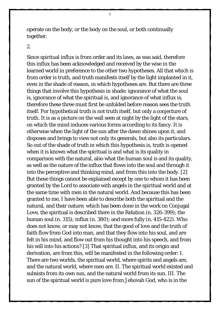operate on the body, or the body on the soul, or both continually together.

#### 2.

Since spiritual influx is from order and its laws, as was said, therefore this influx has been acknowledged and received by the wise in the learned world in preference to the other two hypotheses. All that which is from order is truth, and truth manifests itself by the light implanted in it, even in the shade of reason, in which hypotheses are. But there are three things that involve this hypothesis in shade; ignorance of what the soul is, ignorance of what the spiritual is, and ignorance of what influx is; therefore these three must first be unfolded before reason sees the truth itself. For hypothetical truth is not truth itself, but only a conjecture of truth. It is as a picture on the wall seen at night by the light of the stars, on which the mind induces various forms according to its fancy. It is otherwise when the light of the sun after the dawn shines upon it, and disposes and brings to view not only its generals, but also its particulars. So out of the shade of truth in which this hypothesis is, truth is opened when it is known what the spiritual is and what is its quality in comparison with the natural, also what the human soul is and its quality, as well as the nature of the influx that flows into the soul and through it into the perceptive and thinking mind, and from this into the body. [2] But these things cannot be explained except by one to whom it has been granted by the Lord to associate with angels in the spiritual world and at the same time with men in the natural world. And because this has been granted to me, I have been able to describe both the spiritual and the natural, and their nature; which has been done in the work on Conjugal Love, the spiritual is described there in the Relation (n. 326-399); the human soul (n. 315); influx (n. 380); and more fully (n. 415-422). Who does not know, or may not know, that the good of love and the truth of faith flow from God into man, and that they flow into his soul, and are felt in his mind, and flow out from his thought into his speech, and from his will into his actions? [3] That spiritual influx, and its origin and derivation, are from this, will be manifested in the following order: I. There are two worlds, the spiritual world, where spirits and angels are, and the natural world, where men are. II. The spiritual world existed and subsists from its own sun, and the natural world from its sun. III. The sun of the spiritual world is pure love from Jehovah God, who is in the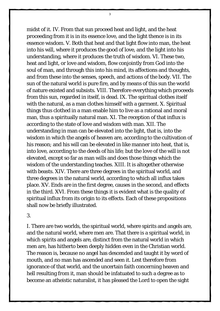midst of it. IV. From that sun proceed heat and light, and the heat proceeding from it is in its essence love, and the light thence is in its essence wisdom. V. Both that heat and that light flow into man, the heat into his will, where it produces the good of love, and the light into his understanding, where it produces the truth of wisdom. VI. These two, heat and light, or love and wisdom, flow conjointly from God into the soul of man, and through this into his mind, its affections and thoughts, and from these into the senses, speech, and actions of the body. VII. The sun of the natural world is pure fire, and by means of this sun the world of nature existed and subsists. VIII. Therefore everything which proceeds from this sun, regarded in itself, is dead. IX. The spiritual clothes itself with the natural, as a man clothes himself with a garment. X. Spiritual things thus clothed in a man enable him to live as a rational and moral man, thus a spiritually natural man. XI. The reception of that influx is according to the state of love and wisdom with man. XII. The understanding in man can be elevated into the light, that is, into the wisdom in which the angels of heaven are, according to the cultivation of his reason; and his will can be elevated in like manner into heat, that is, into love, according to the deeds of his life; but the love of the will is not elevated, except so far as man wills and does those things which the wisdom of the understanding teaches. XIII. It is altogether otherwise with beasts. XIV. There are three degrees in the spiritual world, and three degrees in the natural world, according to which all influx takes place. XV. Ends are in the first degree, causes in the second, and effects in the third. XVI. From these things it is evident what is the quality of spiritual influx from its origin to its effects. Each of these propositions shall now be briefly illustrated.

#### 3.

I. There are two worlds, the spiritual world, where spirits and angels are, and the natural world, where men are. That there is a spiritual world, in which spirits and angels are, distinct from the natural world in which men are, has hitherto been deeply hidden even in the Christian world. The reason is, because no angel has descended and taught it by word of mouth, and no man has ascended and seen it. Lest therefore from ignorance of that world, and the uncertain faith concerning heaven and hell resulting from it, man should be infatuated to such a degree as to become an atheistic naturalist, it has pleased the Lord to open the sight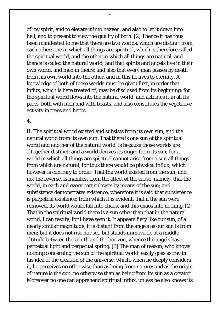of my spirit, and to elevate it into heaven, and also to let it down into hell, and to present to view the quality of both. [2] Thence it has thus been manifested to me that there are two worlds, which are distinct from each other; one in which all things are spiritual, which is therefore called the spiritual world, and the other in which all things are natural, and thence is called the natural world; and that spirits and angels live in their own world, and men in theirs; and also that every man passes by death from his own world into the other, and in this he lives to eternity. A knowledge of both of these worlds must be given first, in order that influx, which is here treated of, may be disclosed from its beginning; for the spiritual world flows into the natural world, and actuates it in all its parts, both with men and with beasts, and also constitutes the vegetative activity in trees and herbs.

#### 4.

II. The spiritual world existed and subsists from its own sun, and the natural world from its own sun. That there is one sun of the spiritual world and another of the natural world, is because those worlds are altogether distinct; and a world derives its origin from its sun; for a world in which all things are spiritual cannot arise from a sun all things from which are natural, for thus there would be physical influx, which however is contrary to order. That the world existed from the sun, and not the reverse, is manifest from the effect of the cause, namely, that the world, in each and every part subsists by means of the sun; and subsistence demonstrates existence, wherefore it is said that subsistence is perpetual existence; from which it is evident, that if the sun were removed, its world would fall into chaos, and this chaos into nothing. [2] That in the spiritual world there is a sun other than that in the natural world, I can testify, for I have seen it. It appears fiery like our sun, of a nearly similar magnitude, it is distant from the angels as our sun is from men; but it does not rise nor set, but stands immovable at a middle altitude between the zenith and the horizon, whence the angels have perpetual light and perpetual spring. [3] The man of reason, who knows nothing concerning the sun of the spiritual world, easily goes astray in his idea of the creation of the universe, which, when he deeply considers it, he perceives no otherwise than as being from nature; and as the origin of nature is the sun, no otherwise than as being from its sun as a creator. Moreover no one can apprehend spiritual influx, unless he also knows its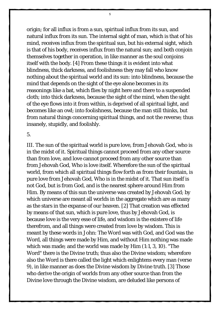origin; for all influx is from a sun, spiritual influx from its sun, and natural influx from its sun. The internal sight of man, which is that of his mind, receives influx from the spiritual sun, but his external sight, which is that of his body, receives influx from the natural sun; and both conjoin themselves together in operation, in like manner as the soul conjoins itself with the body. [4] From these things it is evident into what blindness, thick darkness, and foolishness they may fall who know nothing about the spiritual world and its sun: into blindness, because the mind that depends on the sight of the eye alone becomes in its reasonings like a bat, which flies by night here and there to a suspended cloth; into thick darkness, because the sight of the mind, when the sight of the eye flows into it from within, is deprived of all spiritual light, and becomes like an owl; into foolishness, because the man still thinks, but from natural things concerning spiritual things, and not the reverse; thus insanely, stupidly, and foolishly.

#### 5.

III. The sun of the spiritual world is pure love, from Jehovah God, who is in the midst of it. Spiritual things cannot proceed from any other source than from love, and love cannot proceed from any other source than from Jehovah God, Who is love itself. Wherefore the sun of the spiritual world, from which all spiritual things flow forth as from their fountain, is pure love from Jehovah God, Who is in the midst of it. That sun itself is not God, but is from God, and is the nearest sphere around Him from Him. By means of this sun the universe was created by Jehovah God; by which universe are meant all worlds in the aggregate which are as many as the stars in the expanse of our heaven. [2] That creation was effected by means of that sun, which is pure love, thus by Jehovah God, is because love is the very esse of life, and wisdom is the existere of life therefrom, and all things were created from love by wisdom. This is meant by these words in John: The Word was with God, and God was the Word, all things were made by Him, and without Him nothing was made which was made; and the world was made by Him (1:1, 3, 10). "The Word" there is the Divine truth; thus also the Divine wisdom; wherefore also the Word is there called the light which enlightens every man (verse 9), in like manner as does the Divine wisdom by Divine truth. [3] Those who derive the origin of worlds from any other source than from the Divine love through the Divine wisdom, are deluded like persons of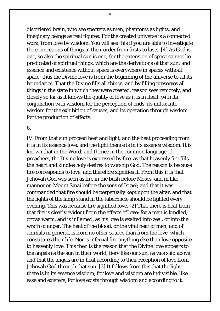disordered brain, who see specters as men, phantoms as lights, and imaginary beings as real figures. For the created universe is a connected work, from love by wisdom. You will see this if you are able to investigate the connections of things in their order from firsts to lasts. [4] As God is one, so also the spiritual sun is one; for the extension of space cannot be predicated of spiritual things, which are the derivations of that sun; and essence and existence without space is everywhere in spaces without space; thus the Divine love is from the beginning of the universe to all its boundaries. That the Divine fills all things, and by filling preserves all things in the state in which they were created, reason sees remotely, and closely so far as it knows the quality of love as it is in itself, with its conjunction with wisdom for the perception of ends, its influx into wisdom for the exhibition of causes; and its operation through wisdom for the production of effects.

#### 6.

IV. From that sun proceed heat and light, and the heat proceeding from it is in its essence love, and the light thence is in its essence wisdom. It is known that in the Word, and thence in the common language of preachers, the Divine love is expressed by fire, as that heavenly fire fills the heart and kindles holy desires to worship God. The reason is because fire corresponds to love, and therefore signifies it. From this it is that Jehovah God was seen as fire in the bush before Moses, and in like manner on Mount Sinai before the sons of Israel; and that it was commanded that fire should be perpetually kept upon the altar, and that the lights of the lamp stand in the tabernacle should be lighted every evening. This was because fire signified love. [2] That there is heat from that fire is clearly evident from the effects of love; for a man is kindled, grows warm, and is inflamed, as his love is exalted into zeal, or into the wrath of anger. The heat of the blood, or the vital heat of men, and of animals in general, is from no other source than from the love, which constitutes their life. Nor is infernal fire anything else than love opposite to heavenly love. This then is the reason that the Divine love appears to the angels as the sun in their world, fiery like our sun, as was said above, and that the angels are in heat according to their reception of love from Jehovah God through that sun. [3] It follows from this that the light there is in its essence wisdom; for love and wisdom are indivisible, like esse and existere, for love exists through wisdom and according to it.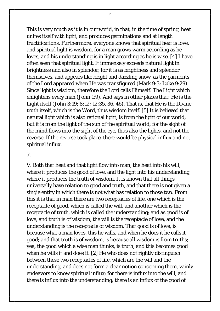This is very much as it is in our world, in that, in the time of spring, heat unites itself with light, and produces germinations and at length fructifications. Furthermore, everyone knows that spiritual heat is love, and spiritual light is wisdom, for a man grows warm according as he loves, and his understanding is in light according as he is wise. [4] I have often seen that spiritual light. It immensely exceeds natural light in brightness and also in splendor, for it is as brightness and splendor themselves, and appears like bright and dazzling snow, as the garments of the Lord appeared when He was transfigured (Mark 9:3; Luke 9:29). Since light is wisdom, therefore the Lord calls Himself: The Light which enlightens every man (John 1:9). And says in other places that: He is the Light itself (John 3:19; 8:12; 12:35, 36, 46). That is, that He is the Divine truth itself, which is the Word, thus wisdom itself. [5] It is believed that natural light which is also rational light, is from the light of our world; but it is from the light of the sun of the spiritual world; for the sight of the mind flows into the sight of the eye, thus also the lights, and not the reverse. If the reverse took place, there would be physical influx and not spiritual influx.

#### 7.

V. Both that heat and that light flow into man, the heat into his will, where it produces the good of love, and the light into his understanding, where it produces the truth of wisdom. It is known that all things universally have relation to good and truth, and that there is not given a single entity in which there is not what has relation to those two. From this it is that in man there are two receptacles of life, one which is the receptacle of good, which is called the will, and another which is the receptacle of truth, which is called the understanding; and as good is of love, and truth is of wisdom, the will is the receptacle of love, and the understanding is the receptacle of wisdom. That good is of love, is because what a man loves, this he wills, and when he does it he calls it good; and that truth is of wisdom, is because all wisdom is from truths; yea, the good which a wise man thinks, is truth, and this becomes good when he wills it and does it. [2] He who does not rightly distinguish between these two receptacles of life, which are the will and the understanding, and does not form a clear notion concerning them, vainly endeavors to know spiritual influx; for there is influx into the will, and there is influx into the understanding; there is an influx of the good of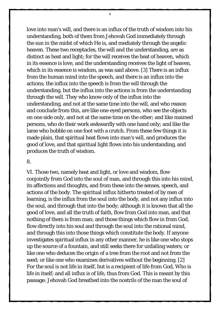love into man's will, and there is an influx of the truth of wisdom into his understanding, both of them from Jehovah God immediately through the sun in the midst of which He is, and mediately through the angelic heaven. These two receptacles, the will and the understanding, are as distinct as heat and light; for the will receives the heat of heaven, which in its essence is love, and the understanding receives the light of heaven, which in its essence is wisdom, as was said above. [3] There is an influx from the human mind into the speech, and there is an influx into the actions; the influx into the speech is from the will through the understanding, but the influx into the actions is from the understanding through the will. They who know only of the influx into the understanding, and not at the same time into the will, and who reason and conclude from this, are like one-eyed persons, who see the objects on one side only, and not at the same time on the other; and like maimed persons, who do their work awkwardly with one hand only; and like the lame who hobble on one foot with a crutch. From these few things it is made plain, that spiritual heat flows into man's will, and produces the good of love, and that spiritual light flows into his understanding, and produces the truth of wisdom.

#### 8.

VI. Those two, namely heat and light, or love and wisdom, flow conjointly from God into the soul of man, and through this into his mind, its affections and thoughts, and from these into the senses, speech, and actions of the body. The spiritual influx hitherto treated of by men of learning, is the influx from the soul into the body, and not any influx into the soul, and through that into the body; although it is known that all the good of love, and all the truth of faith, flow from God into man, and that nothing of them is from man; and those things which flow in from God, flow directly into his soul and through the soul into the rational mind, and through this into those things which constitute the body. If anyone investigates spiritual influx in any other manner, he is like one who stops up the source of a fountain, and still seeks there for unfailing waters; or like one who deduces the origin of a tree from the root and not from the seed; or like one who examines derivatives without the beginning. [2] For the soul is not life in itself, but is a recipient of life from God, Who is life in itself; and all influx is of life, thus from God. This is meant by this passage: Jehovah God breathed into the nostrils of the man the soul of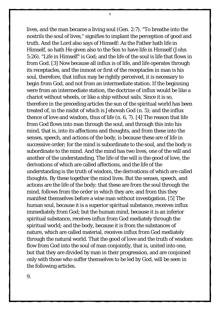lives, and the man became a living soul (Gen. 2:7). "To breathe into the nostrils the soul of lives," signifies to implant the perception of good and truth. And the Lord also says of Himself: As the Father hath life in Himself, so hath He given also to the Son to have life in Himself (John 5:26). "Life in Himself" is God; and the life of the soul is life that flows in from God. [3] Now because all influx is of life, and life operates through its receptacles, and the inmost or first of the receptacles in man is his soul, therefore, that influx may be rightly perceived, it is necessary to begin from God, and not from an intermediate station. If the beginning were from an intermediate station, the doctrine of influx would be like a chariot without wheels, or like a ship without sails. Since it is so, therefore in the preceding articles the sun of the spiritual world has been treated of, in the midst of which is Jehovah God (n. 5); and the influx thence of love and wisdom, thus of life (n. 6, 7). [4] The reason that life from God flows into man through the soul, and through this into his mind, that is, into its affections and thoughts, and from these into the senses, speech, and actions of the body, is because these are of life in successive order; for the mind is subordinate to the soul, and the body is subordinate to the mind. And the mind has two lives, one of the will and another of the understanding. The life of the will is the good of love, the derivations of which are called affections, and the life of the understanding is the truth of wisdom, the derivations of which are called thoughts. By these together the mind lives. But the senses, speech, and actions are the life of the body; that these are from the soul through the mind, follows from the order in which they are; and from this they manifest themselves before a wise man without investigation. [5] The human soul, because it is a superior spiritual substance, receives influx immediately from God; but the human mind, because it is an inferior spiritual substance, receives influx from God mediately through the spiritual world; and the body, because it is from the substances of nature, which are called material, receives influx from God mediately through the natural world. That the good of love and the truth of wisdom flow from God into the soul of man conjointly, that is, united into one, but that they are divided by man in their progression, and are conjoined only with those who suffer themselves to be led by God, will be seen in the following articles.

9

9.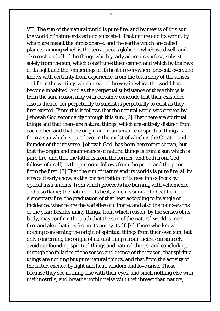VII. The sun of the natural world is pure fire, and by means of this sun the world of nature existed and subsisted. That nature and its world, by which are meant the atmospheres, and the earths which are called planets, among which is the terraqueous globe on which we dwell, and also each and all of the things which yearly adorn its surface, subsist solely from the sun, which constitutes their center, and which by the rays of its light and the temperings of its heat is everywhere present, everyone knows with certainty from experience, from the testimony of the senses, and from the writings which treat of the way in which the world has become inhabited. And as the perpetual subsistence of these things is from the sun, reason may with certainty conclude that their existence also is thence; for perpetually to subsist is perpetually to exist as they first existed. From this it follows that the natural world was created by Jehovah God secondarily through this sun. [2] That there are spiritual things and that there are natural things, which are entirely distinct from each other, and that the origin and maintenance of spiritual things is from a sun which is pure love, in the midst of which is the Creator and founder of the universe, Jehovah God, has been heretofore shown; but that the origin and maintenance of natural things is from a sun which is pure fire, and that the latter is from the former, and both from God, follows of itself, as the posterior follows from the prior, and the prior from the first. [3] That the sun of nature and its worlds is pure fire, all its effects clearly show; as the concentration of its rays into a focus by optical instruments, from which proceeds fire burning with vehemence and also flame; the nature of its heat, which is similar to heat from elementary fire; the graduation of that heat according to its angle of incidence, whence are the varieties of climate, and also the four seasons of the year; besides many things, from which reason, by the senses of its body, may confirm the truth that the sun of the natural world is mere fire, and also that it is fire in its purity itself. [4] Those who know nothing concerning the origin of spiritual things from their own sun, but only concerning the origin of natural things from theirs, can scarcely avoid confounding spiritual things and natural things, and concluding, through the fallacies of the senses and thence of the reason, that spiritual things are nothing but pure natural things, and that from the activity of the latter, excited by light and heat, wisdom and love arise. Those, because they see nothing else with their eyes, and smell nothing else with their nostrils, and breathe nothing else with their breast than nature,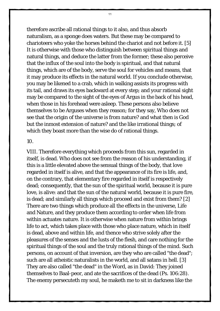therefore ascribe all rational things to it also, and thus absorb naturalism, as a sponge does waters. But these may be compared to charioteers who yoke the horses behind the chariot and not before it. [5] It is otherwise with those who distinguish between spiritual things and natural things, and deduce the latter from the former; these also perceive that the influx of the soul into the body is spiritual, and that natural things, which are of the body, serve the soul for vehicles and means, that it may produce its effects in the natural world. If you conclude otherwise, you may be likened to a crab, which in walking assists its progress with its tail, and draws its eyes backward at every step; and your rational sight may be compared to the sight of the eyes of Argus in the back of his head, when those in his forehead were asleep. These persons also believe themselves to be Arguses when they reason; for they say, Who does not see that the origin of the universe is from nature? and what then is God but the inmost extension of nature? and the like irrational things; of which they boast more than the wise do of rational things.

#### 10.

VIII. Therefore everything which proceeds from this sun, regarded in itself, is dead. Who does not see from the reason of his understanding, if this is a little elevated above the sensual things of the body, that love regarded in itself is alive, and that the appearance of its fire is life, and, on the contrary, that elementary fire regarded in itself is respectively dead; consequently, that the sun of the spiritual world, because it is pure love, is alive: and that the sun of the natural world, because it is pure fire, is dead; and similarly all things which proceed and exist from them? [2] There are two things which produce all the effects in the universe, Life and Nature, and they produce them according to order when life from within actuates nature. It is otherwise when nature from within brings life to act, which takes place with those who place nature, which in itself is dead, above and within life, and thence who strive solely after the pleasures of the senses and the lusts of the flesh, and care nothing for the spiritual things of the soul and the truly rational things of the mind. Such persons, on account of that inversion, are they who are called "the dead"; such are all atheistic naturalists in the world, and all satans in hell. [3] They are also called "the dead" in the Word, as in David: They joined themselves to Baal-peor, and ate the sacrifices of the dead (Ps. 106:28). The enemy persecuteth my soul, he maketh me to sit in darkness like the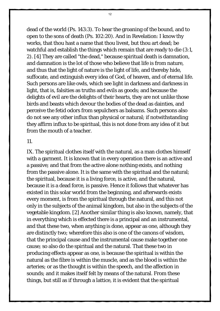dead of the world (Ps. 143:3). To hear the groaning of the bound, and to open to the sons of death (Ps. 102:20). And in Revelation: I know thy works, that thou hast a name that thou livest, but thou art dead; be watchful and establish the things which remain that are ready to die (3:1, 2). [4] They are called "the dead," because spiritual death is damnation, and damnation is the lot of those who believe that life is from nature, and thus that the light of nature is the light of life, and thereby hide, suffocate, and extinguish every idea of God, of heaven, and of eternal life. Such persons are like owls, which see light in darkness and darkness in light, that is, falsities as truths and evils as goods; and because the delights of evil are the delights of their hearts, they are not unlike those birds and beasts which devour the bodies of the dead as dainties, and perceive the fetid odors from sepulchers as balsams. Such persons also do not see any other influx than physical or natural; if notwithstanding they affirm influx to be spiritual, this is not done from any idea of it but from the mouth of a teacher.

#### 11.

IX. The spiritual clothes itself with the natural, as a man clothes himself with a garment. It is known that in every operation there is an active and a passive; and that from the active alone nothing exists, and nothing from the passive alone. It is the same with the spiritual and the natural; the spiritual, because it is a living force, is active, and the natural, because it is a dead force, is passive. Hence it follows that whatever has existed in this solar world from the beginning, and afterwards exists every moment, is from the spiritual through the natural, and this not only in the subjects of the animal kingdom, but also in the subjects of the vegetable kingdom. [2] Another similar thing is also known, namely, that in everything which is effected there is a principal and an instrumental, and that these two, when anything is done, appear as one, although they are distinctly two; wherefore this also is one of the canons of wisdom, that the principal cause and the instrumental cause make together one cause; so also do the spiritual and the natural. That these two in producing effects appear as one, is because the spiritual is within the natural as the fibre is within the muscle, and as the blood is within the arteries; or as the thought is within the speech, and the affection in sounds; and it makes itself felt by means of the natural. From these things, but still as if through a lattice, it is evident that the spiritual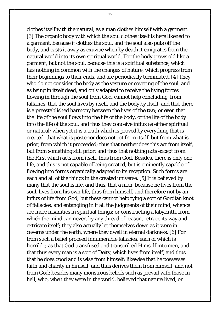clothes itself with the natural, as a man clothes himself with a garment. [3] The organic body with which the soul clothes itself is here likened to a garment, because it clothes the soul, and the soul also puts off the body, and casts it away as exuviae when by death it emigrates from the natural world into its own spiritual world. For the body grows old like a garment; but not the soul, because this is a spiritual substance, which has nothing in common with the changes of nature, which progress from their beginnings to their ends, and are periodically terminated. [4] They who do not consider the body as the vesture or covering of the soul, and as being in itself dead, and only adapted to receive the living forces flowing in through the soul from God, cannot help concluding, from fallacies, that the soul lives by itself, and the body by itself, and that there is a preestablished harmony between the lives of the two; or even that the life of the soul flows into the life of the body, or the life of the body into the life of the soul, and thus they conceive influx as either spiritual or natural; when yet it is a truth which is proved by everything that is created, that what is posterior does not act from itself, but from what is prior, from which it proceeded; thus that neither does this act from itself, but from something still prior; and thus that nothing acts except from the First which acts from itself, thus from God. Besides, there is only one life, and this is not capable of being created, but is eminently capable of flowing into forms organically adapted to its reception. Such forms are each and all of the things in the created universe. [5] It is believed by many that the soul is life, and thus, that a man, because he lives from the soul, lives from his own life, thus from himself, and therefore not by an influx of life from God; but these cannot help tying a sort of Gordian knot of fallacies, and entangling in it all the judgments of their mind, whence are mere insanities in spiritual things; or constructing a labyrinth, from which the mind can never, by any thread of reason, retrace its way and extricate itself; they also actually let themselves down as it were in caverns under the earth, where they dwell in eternal darkness. [6] For from such a belief proceed innumerable fallacies, each of which is horrible; as that God transfused and transcribed Himself into men, and that thus every man is a sort of Deity, which lives from itself, and thus that he does good and is wise from himself; likewise that he possesses faith and charity in himself, and thus derives them from himself, and not from God; besides many monstrous beliefs such as prevail with those in hell, who, when they were in the world, believed that nature lived, or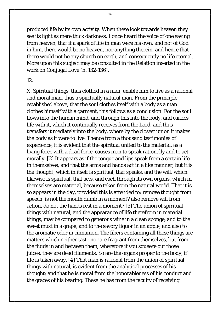produced life by its own activity. When these look towards heaven they see its light as mere thick darkness. I once heard the voice of one saying from heaven, that if a spark of life in man were his own, and not of God in him, there would be no heaven, nor anything therein, and hence that there would not be any church on earth, and consequently no life eternal. More upon this subject may be consulted in the Relation inserted in the work on Conjugal Love (n. 132-136).

#### 12.

X. Spiritual things, thus clothed in a man, enable him to live as a rational and moral man, thus a spiritually natural man. From the principle established above, that the soul clothes itself with a body as a man clothes himself with a garment, this follows as a conclusion. For the soul flows into the human mind, and through this into the body, and carries life with it, which it continually receives from the Lord, and thus transfers it mediately into the body, where by the closest union it makes the body as it were to live. Thence from a thousand testimonies of experience, it is evident that the spiritual united to the material, as a living force with a dead force, causes man to speak rationally and to act morally. [2] It appears as if the tongue and lips speak from a certain life in themselves, and that the arms and hands act in a like manner; but it is the thought, which in itself is spiritual, that speaks, and the will, which likewise is spiritual, that acts, and each through its own organs, which in themselves are material, because taken from the natural world. That it is so appears in the day, provided this is attended to: remove thought from speech, is not the mouth dumb in a moment? also remove will from action, do not the hands rest in a moment? [3] The union of spiritual things with natural, and the appearance of life therefrom in material things, may be compared to generous wine in a clean sponge, and to the sweet must in a grape, and to the savory liquor in an apple, and also to the aromatic odor in cinnamon. The fibers containing all these things are matters which neither taste nor are fragrant from themselves, but from the fluids in and between them; wherefore if you squeeze out those juices, they are dead filaments. So are the organs proper to the body, if life is taken away. [4] That man is rational from the union of spiritual things with natural, is evident from the analytical processes of his thought; and that he is moral from the honorableness of his conduct and the graces of his bearing. These he has from the faculty of receiving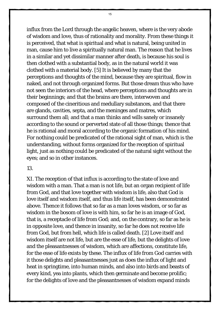influx from the Lord through the angelic heaven, where is the very abode of wisdom and love, thus of rationality and morality. From these things it is perceived, that what is spiritual and what is natural, being united in man, cause him to live a spiritually natural man. The reason that he lives in a similar and yet dissimilar manner after death, is because his soul is then clothed with a substantial body, as in the natural world it was clothed with a material body. [5] It is believed by many that the perceptions and thoughts of the mind, because they are spiritual, flow in naked, and not through organized forms. But those dream thus who have not seen the interiors of the head, where perceptions and thoughts are in their beginnings; and that the brains are there, interwoven and composed of the cineritious and medullary substances, and that there are glands, cavities, septa, and the meninges and matres, which surround them all; and that a man thinks and wills sanely or insanely according to the sound or perverted state of all those things; thence that he is rational and moral according to the organic formation of his mind. For nothing could be predicated of the rational sight of man, which is the understanding, without forms organized for the reception of spiritual light, just as nothing could be predicated of the natural sight without the eyes; and so in other instances.

#### 13.

XI. The reception of that influx is according to the state of love and wisdom with a man. That a man is not life, but an organ recipient of life from God, and that love together with wisdom is life, also that God is love itself and wisdom itself, and thus life itself, has been demonstrated above. Thence it follows that so far as a man loves wisdom, or so far as wisdom in the bosom of love is with him, so far he is an image of God, that is, a receptacle of life from God; and, on the contrary, so far as he is in opposite love, and thence in insanity, so far he does not receive life from God, but from hell, which life is called death. [2] Love itself and wisdom itself are not life, but are the esse of life, but the delights of love and the pleasantnesses of wisdom, which are affections, constitute life, for the esse of life exists by these. The influx of life from God carries with it those delights and pleasantnesses just as does the influx of light and heat in springtime, into human minds, and also into birds and beasts of every kind, yea into plants, which then germinate and become prolific; for the delights of love and the pleasantnesses of wisdom expand minds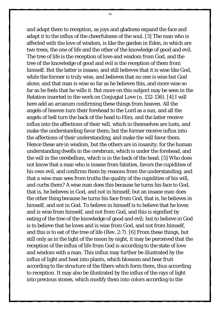and adapt them to reception, as joys and gladness expand the face and adapt it to the influx of the cheerfulness of the soul. [3] The man who is affected with the love of wisdom, is like the garden in Eden, in which are two trees, the one of life and the other of the knowledge of good and evil. The tree of life is the reception of love and wisdom from God, and the tree of the knowledge of good and evil is the reception of them from himself. But the latter is insane, and still believes that it is wise like God, while the former is truly wise, and believes that no one is wise but God alone, and that man is wise so far as he believes this, and more wise so far as he feels that he wills it. But more on this subject may be seen in the Relation inserted in the work on Conjugial Love (n. 132-136). [4] I will here add an arcanum confirming these things from heaven. All the angels of heaven turn their forehead to the Lord as a sun, and all the angels of hell turn the back of the head to Him; and the latter receive influx into the affections of their will, which in themselves are lusts, and make the understanding favor them; but the former receive influx into the affections of their understanding, and make the will favor them. Hence these are in wisdom, but the others are in insanity; for the human understanding dwells in the cerebrum, which is under the forehead, and the will in the cerebellum, which is in the back of the head. [5] Who does not know that a man who is insane from falsities, favors the cupidities of his own evil, and confirms them by reasons from the understanding; and that a wise man sees from truths the quality of the cupidities of his will, and curbs them? A wise man does this because he turns his face to God, that is, he believes in God, and not in himself; but an insane man does the other thing because he turns his face from God, that is, he believes in himself, and not in God. To believe in himself is to believe that he loves and is wise from himself, and not from God, and this is signified by eating of the tree of the knowledge of good and evil; but to believe in God is to believe that he loves and is wise from God, and not from himself, and this is to eat of the tree of life (Rev. 2:7). [6] From these things, but still only as in the light of the moon by night, it may be perceived that the reception of the influx of life from God is according to the state of love and wisdom with a man. This influx may further be illustrated by the influx of light and heat into plants, which blossom and bear fruit according to the structure of the fibers which form them, thus according to reception. It may also be illustrated by the influx of the rays of light into precious stones, which modify them into colors according to the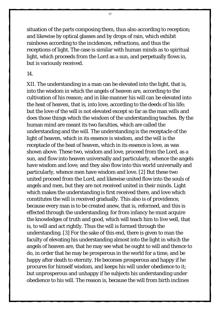situation of the parts composing them, thus also according to reception; and likewise by optical glasses and by drops of rain, which exhibit rainbows according to the incidences, refractions, and thus the receptions of light. The case is similar with human minds as to spiritual light, which proceeds from the Lord as a sun, and perpetually flows in, but is variously received.

#### 14.

XII. The understanding in a man can be elevated into the light, that is, into the wisdom in which the angels of heaven are, according to the cultivation of his reason; and in like manner his will can be elevated into the heat of heaven, that is, into love, according to the deeds of his life; but the love of the will is not elevated except so far as the man wills and does those things which the wisdom of the understanding teaches. By the human mind are meant its two faculties, which are called the understanding and the will. The understanding is the receptacle of the light of heaven, which in its essence is wisdom, and the will is the receptacle of the heat of heaven, which in its essence is love, as was shown above. These two, wisdom and love, proceed from the Lord, as a sun, and flow into heaven universally and particularly, whence the angels have wisdom and love; and they also flow into this world universally and particularly, whence men have wisdom and love. [2] But these two united proceed from the Lord, and likewise united flow into the souls of angels and men, but they are not received united in their minds. Light which makes the understanding is first received there, and love which constitutes the will is received gradually. This also is of providence, because every man is to be created anew, that is, reformed, and this is effected through the understanding; for from infancy he must acquire the knowledges of truth and good, which will teach him to live well, that is, to will and act rightly. Thus the will is formed through the understanding. [3] For the sake of this end, there is given to man the faculty of elevating his understanding almost into the light in which the angels of heaven are, that he may see what he ought to will and thence to do, in order that he may be prosperous in the world for a time, and be happy after death to eternity. He becomes prosperous and happy if he procures for himself wisdom, and keeps his will under obedience to it; but unprosperous and unhappy if he subjects his understanding under obedience to his will. The reason is, because the will from birth inclines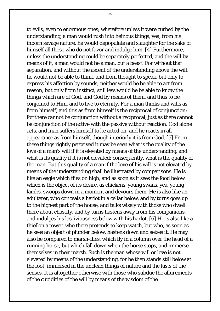to evils, even to enormous ones; wherefore unless it were curbed by the understanding, a man would rush into heinous things, yea, from his inborn savage nature, he would depopulate and slaughter for the sake of himself all those who do not favor and indulge him. [4] Furthermore, unless the understanding could be separately perfected, and the will by means of it, a man would not be a man, but a beast. For without that separation, and without the ascent of the understanding above the will, he would not be able to think, and from thought to speak, but only to express his affection by sounds; neither would he be able to act from reason, but only from instinct; still less would he be able to know the things which are of God, and God by means of them, and thus to be conjoined to Him, and to live to eternity. For a man thinks and wills as from himself, and this as from himself is the reciprocal of conjunction; for there cannot be conjunction without a reciprocal, just as there cannot be conjunction of the active with the passive without reaction. God alone acts, and man suffers himself to be acted on, and he reacts in all appearance as from himself, though interiorly it is from God. [5] From these things rightly perceived it may be seen what is the quality of the love of a man's will if it is elevated by means of the understanding, and what is its quality if it is not elevated; consequently, what is the quality of the man. But this quality of a man if the love of his will is not elevated by means of the understanding shall be illustrated by comparisons. He is like an eagle which flies on high, and as soon as it sees the food below which is the object of its desire, as chickens, young swans, yea, young lambs, swoops down in a moment and devours them. He is also like an adulterer, who conceals a harlot in a cellar below, and by turns goes up to the highest part of the house, and talks wisely with those who dwell there about chastity, and by turns hastens away from his companions, and indulges his lasciviousness below with his harlot. [6] He is also like a thief on a tower, who there pretends to keep watch, but who, as soon as he sees an object of plunder below, hastens down and seizes it. He may also be compared to marsh-flies, which fly in a column over the head of a running horse, but which fall down when the horse stops, and immerse themselves in their marsh. Such is the man whose will or love is not elevated by means of the understanding, for he then stands still below at the foot, immersed in the unclean things of nature and the lusts of the senses. It is altogether otherwise with those who subdue the allurements of the cupidities of the will by means of the wisdom of the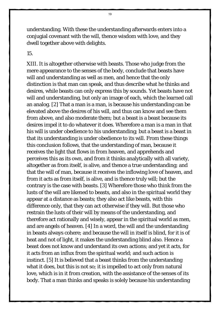understanding. With these the understanding afterwards enters into a conjugial covenant with the will, thence wisdom with love, and they dwell together above with delights.

15.

XIII. It is altogether otherwise with beasts. Those who judge from the mere appearance to the senses of the body, conclude that beasts have will and understanding as well as men, and hence that the only distinction is that man can speak, and thus describe what he thinks and desires, while beasts can only express this by sounds. Yet beasts have not will and understanding, but only an image of each, which the learned call an analog. [2] That a man is a man, is because his understanding can be elevated above the desires of his will, and thus can know and see them from above, and also moderate them; but a beast is a beast because its desires impel it to do whatever it does. Wherefore a man is a man in that his will is under obedience to his understanding; but a beast is a beast in that its understanding is under obedience to its will. From these things this conclusion follows, that the understanding of man, because it receives the light that flows in from heaven, and apprehends and perceives this as its own, and from it thinks analytically with all variety, altogether as from itself, is alive, and thence a true understanding; and that the will of man, because it receives the inflowing love of heaven, and from it acts as from itself, is alive, and is thence truly will; but the contrary is the case with beasts. [3] Wherefore those who think from the lusts of the will are likened to beasts, and also in the spiritual world they appear at a distance as beasts; they also act like beasts, with this difference only, that they can act otherwise if they will. But those who restrain the lusts of their will by means of the understanding, and therefore act rationally and wisely, appear in the spiritual world as men, and are angels of heaven. [4] In a word, the will and the understanding in beasts always cohere; and because the will in itself is blind, for it is of heat and not of light, it makes the understanding blind also. Hence a beast does not know and understand its own actions; and yet it acts, for it acts from an influx from the spiritual world; and such action is instinct. [5] It is believed that a beast thinks from the understanding what it does, but this is not so; it is impelled to act only from natural love, which is in it from creation, with the assistance of the senses of its body. That a man thinks and speaks is solely because his understanding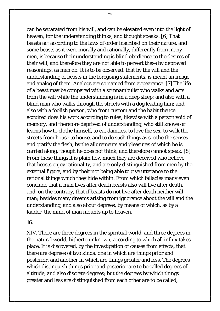can be separated from his will, and can be elevated even into the light of heaven; for the understanding thinks, and thought speaks. [6] That beasts act according to the laws of order inscribed on their nature, and some beasts as it were morally and rationally, differently from many men, is because their understanding is blind obedience to the desires of their will, and therefore they are not able to pervert these by depraved reasonings, as men do. It is to be observed, that by the will and the understanding of beasts in the foregoing statements, is meant an image and analog of them. Analogs are so named from appearance. [7] The life of a beast may be compared with a somnambulist who walks and acts from the will while the understanding is in a deep sleep; and also with a blind man who walks through the streets with a dog leading him; and also with a foolish person, who from custom and the habit thence acquired does his work according to rules; likewise with a person void of memory, and therefore deprived of understanding, who still knows or learns how to clothe himself, to eat dainties, to love the sex, to walk the streets from house to house, and to do such things as soothe the senses and gratify the flesh, by the allurements and pleasures of which he is carried along, though he does not think, and therefore cannot speak. [8] From these things it is plain how much they are deceived who believe that beasts enjoy rationality, and are only distinguished from men by the external figure, and by their not being able to give utterance to the rational things which they hide within. From which fallacies many even conclude that if man lives after death beasts also will live after death, and, on the contrary, that if beasts do not live after death neither will man; besides many dreams arising from ignorance about the will and the understanding, and also about degrees, by means of which, as by a ladder, the mind of man mounts up to heaven.

#### 16.

XIV. There are three degrees in the spiritual world, and three degrees in the natural world, hitherto unknown, according to which all influx takes place. It is discovered, by the investigation of causes from effects, that there are degrees of two kinds, one in which are things prior and posterior, and another in which are things greater and less. The degrees which distinguish things prior and posterior are to be called degrees of altitude, and also discrete degrees; but the degrees by which things greater and less are distinguished from each other are to be called,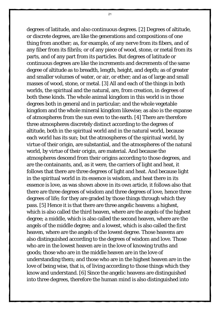degrees of latitude, and also continuous degrees. [2] Degrees of altitude, or discrete degrees, are like the generations and compositions of one thing from another; as, for example, of any nerve from its fibers, and of any fiber from its fibrils; or of any piece of wood, stone, or metal from its parts, and of any part from its particles. But degrees of latitude or continuous degrees are like the increments and decrements of the same degree of altitude as to breadth, length, height, and depth; as of greater and smaller volumes of water, or air, or ether; and as of large and small masses of wood, stone, or metal. [3] All and each of the things in both worlds, the spiritual and the natural, are, from creation, in degrees of both these kinds. The whole animal kingdom in this world is in those degrees both in general and in particular; and the whole vegetable kingdom and the whole mineral kingdom likewise; as also is the expanse of atmospheres from the sun even to the earth. [4] There are therefore three atmospheres discretely distinct according to the degrees of altitude, both in the spiritual world and in the natural world, because each world has its sun; but the atmospheres of the spiritual world, by virtue of their origin, are substantial, and the atmospheres of the natural world, by virtue of their origin, are material. And because the atmospheres descend from their origins according to those degrees, and are the containants, and, as it were, the carriers of light and heat, it follows that there are three degrees of light and heat. And because light in the spiritual world in its essence is wisdom, and heat there in its essence is love, as was shown above in its own article, it follows also that there are three degrees of wisdom and three degrees of love, hence three degrees of life; for they are graded by those things through which they pass. [5] Hence it is that there are three angelic heavens: a highest, which is also called the third heaven, where are the angels of the highest degree; a middle, which is also called the second heaven, where are the angels of the middle degree; and a lowest, which is also called the first heaven, where are the angels of the lowest degree. Those heavens are also distinguished according to the degrees of wisdom and love. Those who are in the lowest heaven are in the love of knowing truths and goods; those who are in the middle heaven are in the love of understanding them; and those who are in the highest heaven are in the love of being wise, that is, of living according to those things which they know and understand. [6] Since the angelic heavens are distinguished into three degrees, therefore the human mind is also distinguished into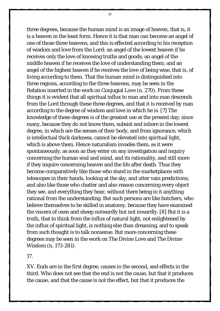three degrees, because the human mind is an image of heaven, that is, it is a heaven in the least form. Hence it is that man can become an angel of one of those three heavens, and this is effected according to his reception of wisdom and love from the Lord: an angel of the lowest heaven if he receives only the love of knowing truths and goods; an angel of the middle heaven if he receives the love of understanding them; and an angel of the highest heaven if he receives the love of being wise, that is, of living according to them. That the human mind is distinguished into three regions, according to the three heavens, may be seen in the Relation inserted in the work on Conjugial Love (n. 270). From these things it is evident that all spiritual influx to man and into man descends from the Lord through these three degrees, and that it is received by man according to the degree of wisdom and love in which he is. [7] The knowledge of these degrees is of the greatest use at the present day; since many, because they do not know them, subsist and inhere in the lowest degree, in which are the senses of their body, and from ignorance, which is intellectual thick darkness, cannot be elevated into spiritual light, which is above them. Hence naturalism invades them, as it were spontaneously, as soon as they enter on any investigation and inquiry concerning the human soul and mind, and its rationality, and still more if they inquire concerning heaven and the life after death. Thus they become comparatively like those who stand in the marketplaces with telescopes in their hands, looking at the sky, and utter vain predictions; and also like those who chatter and also reason concerning every object they see, and everything they hear, without there being in it anything rational from the understanding. But such persons are like butchers, who believe themselves to be skilled in anatomy, because they have examined the viscera of oxen and sheep outwardly but not inwardly. [8] But it is a truth, that to think from the influx of natural light, not enlightened by the influx of spiritual light, is nothing else than dreaming, and to speak from such thought is to talk nonsense. But more concerning these degrees may be seen in the work on The Divine Love and The Divine Wisdom (n. 173-281).

17.

XV. Ends are in the first degree, causes in the second, and effects in the third. Who does not see that the end is not the cause, but that it produces the cause, and that the cause is not the effect, but that it produces the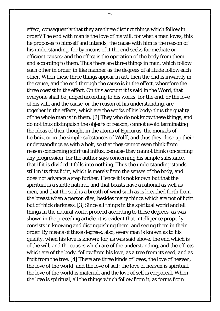effect; consequently that they are three distinct things which follow in order? The end with man is the love of his will, for what a man loves, this he proposes to himself and intends; the cause with him is the reason of his understanding, for by means of it the end seeks for mediate or efficient causes; and the effect is the operation of the body from them and according to them. Thus there are three things in man, which follow each other in order, in like manner as the degrees of altitude follow each other. When these three things appear in act, then the end is inwardly in the cause, and the end through the cause is in the effect, wherefore the three coexist in the effect. On this account it is said in the Word, that everyone shall be judged according to his works; for the end, or the love of his will, and the cause, or the reason of his understanding, are together in the effects, which are the works of his body; thus the quality of the whole man is in them. [2] They who do not know these things, and do not thus distinguish the objects of reason, cannot avoid terminating the ideas of their thought in the atoms of Epicurus, the monads of Leibniz, or in the simple substances of Wolff, and thus they close up their understandings as with a bolt, so that they cannot even think from reason concerning spiritual influx, because they cannot think concerning any progression; for the author says concerning his simple substance, that if it is divided it falls into nothing. Thus the understanding stands still in its first light, which is merely from the senses of the body, and does not advance a step further. Hence it is not known but that the spiritual is a subtle natural, and that beasts have a rational as well as men, and that the soul is a breath of wind such as is breathed forth from the breast when a person dies; besides many things which are not of light but of thick darkness. [3] Since all things in the spiritual world and all things in the natural world proceed according to these degrees, as was shown in the preceding article, it is evident that intelligence properly consists in knowing and distinguishing them, and seeing them in their order. By means of these degrees, also, every man is known as to his quality, when his love is known; for, as was said above, the end which is of the will, and the causes which are of the understanding, and the effects which are of the body, follow from his love, as a tree from its seed, and as fruit from the tree. [4] There are three kinds of loves, the love of heaven, the love of the world, and the love of self; the love of heaven is spiritual, the love of the world is material, and the love of self is corporeal. When the love is spiritual, all the things which follow from it, as forms from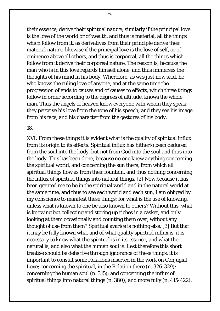their essence, derive their spiritual nature; similarly if the principal love is the love of the world or of wealth, and thus is material, all the things which follow from it, as derivatives from their principle derive their material nature; likewise if the principal love is the love of self, or of eminence above all others, and thus is corporeal, all the things which follow from it derive their corporeal nature. The reason is, because the man who is in this love regards himself alone, and thus immerses the thoughts of his mind in his body. Wherefore, as was just now said, he who knows the ruling love of anyone, and at the same time the progression of ends to causes and of causes to effects, which three things follow in order according to the degrees of altitude, knows the whole man. Thus the angels of heaven know everyone with whom they speak; they perceive his love from the tone of his speech; and they see his image from his face, and his character from the gestures of his body.

#### 18.

XVI. From these things it is evident what is the quality of spiritual influx from its origin to its effects. Spiritual influx has hitherto been deduced from the soul into the body, but not from God into the soul and thus into the body. This has been done, because no one knew anything concerning the spiritual world, and concerning the sun there, from which all spiritual things flow as from their fountain, and thus nothing concerning the influx of spiritual things into natural things. [2] Now because it has been granted me to be in the spiritual world and in the natural world at the same time, and thus to see each world and each sun, I am obliged by my conscience to manifest these things; for what is the use of knowing, unless what is known to one be also known to others? Without this, what is knowing but collecting and storing up riches in a casket, and only looking at them occasionally and counting them over, without any thought of use from them? Spiritual avarice is nothing else. [3] But that it may be fully known what and of what quality spiritual influx is, it is necessary to know what the spiritual is in its essence, and what the natural is, and also what the human soul is. Lest therefore this short treatise should be defective through ignorance of these things, it is important to consult some Relations inserted in the work on Conjugial Love; concerning the spiritual, in the Relation there (n. 326-329); concerning the human soul (n. 315); and concerning the influx of spiritual things into natural things (n. 380); and more fully (n. 415-422).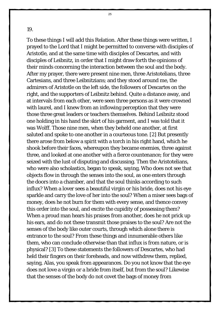19.

To these things I will add this Relation. After these things were written, I prayed to the Lord that I might be permitted to converse with disciples of Aristotle, and at the same time with disciples of Descartes, and with disciples of Leibnitz, in order that I might draw forth the opinions of their minds concerning the interaction between the soul and the body. After my prayer, there were present nine men, three Aristotelians, three Cartesians, and three Leibnitzians; and they stood around me, the admirers of Aristotle on the left side, the followers of Descartes on the right, and the supporters of Leibnitz behind. Quite a distance away, and at intervals from each other, were seen three persons as it were crowned with laurel, and I knew from an inflowing perception that they were those three great leaders or teachers themselves. Behind Leibnitz stood one holding in his hand the skirt of his garment, and I was told that it was Wolff. Those nine men, when they beheld one another, at first saluted and spoke to one another in a courteous tone. [2] But presently there arose from below a spirit with a torch in his right hand, which he shook before their faces, whereupon they became enemies, three against three, and looked at one another with a fierce countenance; for they were seized with the lust of disputing and discussing. Then the Aristotelians, who were also scholastics, began to speak, saying, Who does not see that objects flow in through the senses into the soul, as one enters through the doors into a chamber, and that the soul thinks according to such influx? When a lover sees a beautiful virgin or his bride, does not his eye sparkle and carry the love of her into the soul? When a miser sees bags of money, does he not burn for them with every sense, and thence convey this order into the soul, and excite the cupidity of possessing them? When a proud man hears his praises from another, does he not prick up his ears, and do not these transmit those praises to the soul? Are not the senses of the body like outer courts, through which alone there is entrance to the soul? From these things and innumerable others like them, who can conclude otherwise than that influx is from nature, or is physical? [3] To these statements the followers of Descartes, who had held their fingers on their foreheads, and now withdrew them, replied, saying, Alas, you speak from appearances. Do you not know that the eye does not love a virgin or a bride from itself, but from the soul? Likewise that the senses of the body do not covet the bags of money from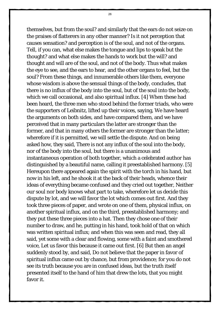themselves, but from the soul? and similarly that the ears do not seize on the praises of flatterers in any other manner? Is it not perception that causes sensation? and perception is of the soul, and not of the organs. Tell, if you can, what else makes the tongue and lips to speak but the thought? and what else makes the hands to work but the will? and thought and will are of the soul, and not of the body. Thus what makes the eye to see, and the ears to hear, and the other organs to feel, but the soul? From these things, and innumerable others like them, everyone whose wisdom is above the sensual things of the body, concludes, that there is no influx of the body into the soul, but of the soul into the body, which we call occasional, and also spiritual influx. [4] When these had been heard, the three men who stood behind the former triads, who were the supporters of Leibnitz, lifted up their voices, saying, We have heard the arguments on both sides, and have compared them, and we have perceived that in many particulars the latter are stronger than the former, and that in many others the former are stronger than the latter; wherefore if it is permitted, we will settle the dispute. And on being asked how, they said, There is not any influx of the soul into the body, nor of the body into the soul, but there is a unanimous and instantaneous operation of both together, which a celebrated author has distinguished by a beautiful name, calling it preestablished harmony. [5] Hereupon there appeared again the spirit with the torch in his hand, but now in his left, and he shook it at the back of their heads, whence their ideas of everything became confused and they cried out together, Neither our soul nor body knows what part to take, wherefore let us decide this dispute by lot, and we will favor the lot which comes out first. And they took three pieces of paper, and wrote on one of them, physical influx, on another spiritual influx, and on the third, preestablished harmony; and they put these three pieces into a hat. Then they chose one of their number to draw, and he, putting in his hand, took hold of that on which was written spiritual influx; and when this was seen and read, they all said, yet some with a clear and flowing, some with a faint and smothered voice, Let us favor this because it came out first. [6] But then an angel suddenly stood by, and said, Do not believe that the paper in favor of spiritual influx came out by chance, but from providence; for you do not see its truth because you are in confused ideas, but the truth itself presented itself to the hand of him that drew the lots, that you might favor it.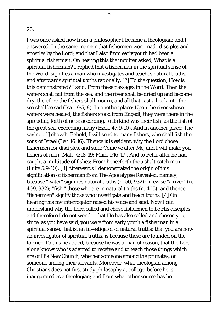20.

I was once asked how from a philosopher I became a theologian; and I answered, In the same manner that fishermen were made disciples and apostles by the Lord; and that I also from early youth had been a spiritual fisherman. On hearing this the inquirer asked, What is a spiritual fisherman? I replied that a fisherman in the spiritual sense of the Word, signifies a man who investigates and teaches natural truths, and afterwards spiritual truths rationally. [2] To the question, How is this demonstrated? I said, From these passages in the Word: Then the waters shall fail from the sea, and the river shall be dried up and become dry, therefore the fishers shall mourn, and all that cast a hook into the sea shall be sad (Isa. 19:5, 8). In another place: Upon the river whose waters were healed, the fishers stood from Engedi; they were there in the spreading forth of nets; according, to its kind was their fish, as the fish of the great sea, exceeding many (Ezek. 47:9-10). And in another place: The saying of Jehovah, Behold, I will send to many fishers, who shall fish the sons of Israel (Jer. 16:16). Thence it is evident, why the Lord chose fishermen for disciples, and said: Come ye after Me, and I will make you fishers of men (Matt. 4:18-19; Mark 1:16-17). And to Peter after he had caught a multitude of fishes: From henceforth thou shalt catch men (Luke 5:9-10). [3] Afterwards I demonstrated the origin of this signification of fishermen from The Apocalypse Revealed; namely, because "water" signifies natural truths (n. 50, 932); likewise "a river" (n. 409, 932); "fish," those who are in natural truths (n. 405); and thence "fishermen" signify those who investigate and teach truths. [4] On hearing this my interrogator raised his voice and said, Now I can understand why the Lord called and chose fishermen to be His disciples, and therefore I do not wonder that He has also called and chosen you, since, as you have said, you were from early youth a fisherman in a spiritual sense, that is, an investigator of natural truths; that you are now an investigator of spiritual truths, is because these are founded on the former. To this he added, because he was a man of reason, that the Lord alone knows who is adapted to receive and to teach those things which are of His New Church, whether someone among the primates, or someone among their servants. Moreover, what theologian among Christians does not first study philosophy at college, before he is inaugurated as a theologian; and from what other source has he